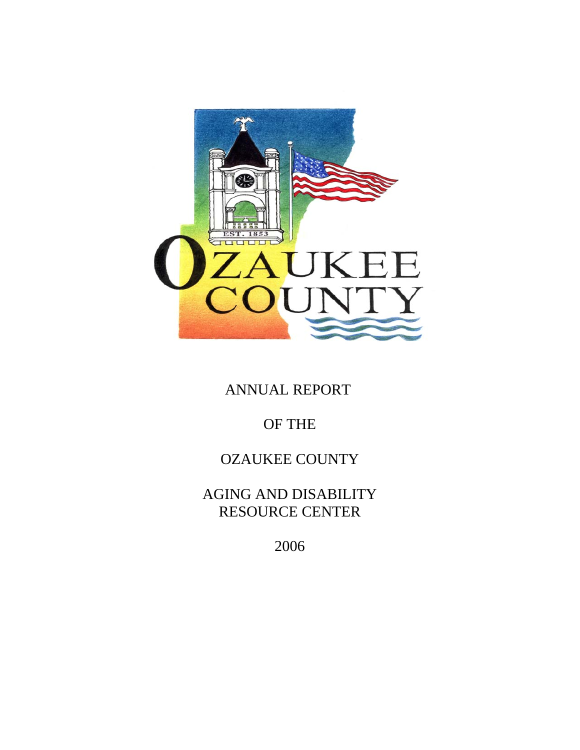

ANNUAL REPORT

# OF THE

## OZAUKEE COUNTY

AGING AND DISABILITY RESOURCE CENTER

2006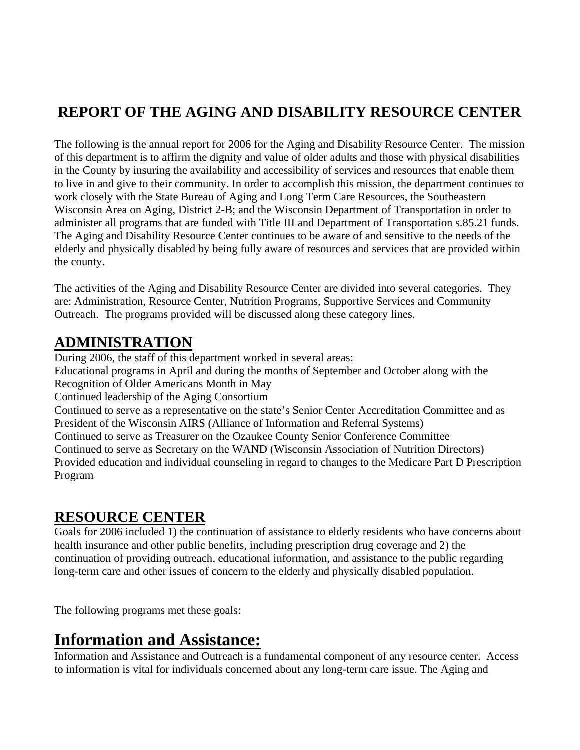# **REPORT OF THE AGING AND DISABILITY RESOURCE CENTER**

The following is the annual report for 2006 for the Aging and Disability Resource Center. The mission of this department is to affirm the dignity and value of older adults and those with physical disabilities in the County by insuring the availability and accessibility of services and resources that enable them to live in and give to their community. In order to accomplish this mission, the department continues to work closely with the State Bureau of Aging and Long Term Care Resources, the Southeastern Wisconsin Area on Aging, District 2-B; and the Wisconsin Department of Transportation in order to administer all programs that are funded with Title III and Department of Transportation s.85.21 funds. The Aging and Disability Resource Center continues to be aware of and sensitive to the needs of the elderly and physically disabled by being fully aware of resources and services that are provided within the county.

The activities of the Aging and Disability Resource Center are divided into several categories. They are: Administration, Resource Center, Nutrition Programs, Supportive Services and Community Outreach. The programs provided will be discussed along these category lines.

## **ADMINISTRATION**

During 2006, the staff of this department worked in several areas: Educational programs in April and during the months of September and October along with the Recognition of Older Americans Month in May Continued leadership of the Aging Consortium Continued to serve as a representative on the state's Senior Center Accreditation Committee and as President of the Wisconsin AIRS (Alliance of Information and Referral Systems) Continued to serve as Treasurer on the Ozaukee County Senior Conference Committee Continued to serve as Secretary on the WAND (Wisconsin Association of Nutrition Directors) Provided education and individual counseling in regard to changes to the Medicare Part D Prescription Program

### **RESOURCE CENTER**

Goals for 2006 included 1) the continuation of assistance to elderly residents who have concerns about health insurance and other public benefits, including prescription drug coverage and 2) the continuation of providing outreach, educational information, and assistance to the public regarding long-term care and other issues of concern to the elderly and physically disabled population.

The following programs met these goals:

# **Information and Assistance:**

Information and Assistance and Outreach is a fundamental component of any resource center. Access to information is vital for individuals concerned about any long-term care issue. The Aging and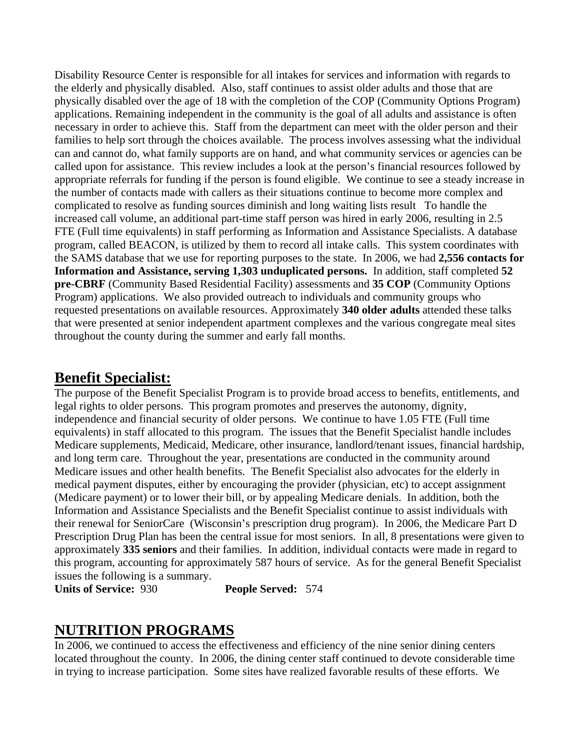Disability Resource Center is responsible for all intakes for services and information with regards to the elderly and physically disabled. Also, staff continues to assist older adults and those that are physically disabled over the age of 18 with the completion of the COP (Community Options Program) applications. Remaining independent in the community is the goal of all adults and assistance is often necessary in order to achieve this. Staff from the department can meet with the older person and their families to help sort through the choices available. The process involves assessing what the individual can and cannot do, what family supports are on hand, and what community services or agencies can be called upon for assistance. This review includes a look at the person's financial resources followed by appropriate referrals for funding if the person is found eligible. We continue to see a steady increase in the number of contacts made with callers as their situations continue to become more complex and complicated to resolve as funding sources diminish and long waiting lists result To handle the increased call volume, an additional part-time staff person was hired in early 2006, resulting in 2.5 FTE (Full time equivalents) in staff performing as Information and Assistance Specialists. A database program, called BEACON, is utilized by them to record all intake calls. This system coordinates with the SAMS database that we use for reporting purposes to the state. In 2006, we had **2,556 contacts for Information and Assistance, serving 1,303 unduplicated persons.** In addition, staff completed **52 pre-CBRF** (Community Based Residential Facility) assessments and **35 COP** (Community Options Program) applications. We also provided outreach to individuals and community groups who requested presentations on available resources. Approximately **340 older adults** attended these talks that were presented at senior independent apartment complexes and the various congregate meal sites throughout the county during the summer and early fall months.

#### **Benefit Specialist:**

The purpose of the Benefit Specialist Program is to provide broad access to benefits, entitlements, and legal rights to older persons. This program promotes and preserves the autonomy, dignity, independence and financial security of older persons. We continue to have 1.05 FTE (Full time equivalents) in staff allocated to this program. The issues that the Benefit Specialist handle includes Medicare supplements, Medicaid, Medicare, other insurance, landlord/tenant issues, financial hardship, and long term care. Throughout the year, presentations are conducted in the community around Medicare issues and other health benefits. The Benefit Specialist also advocates for the elderly in medical payment disputes, either by encouraging the provider (physician, etc) to accept assignment (Medicare payment) or to lower their bill, or by appealing Medicare denials. In addition, both the Information and Assistance Specialists and the Benefit Specialist continue to assist individuals with their renewal for SeniorCare (Wisconsin's prescription drug program). In 2006, the Medicare Part D Prescription Drug Plan has been the central issue for most seniors. In all, 8 presentations were given to approximately **335 seniors** and their families. In addition, individual contacts were made in regard to this program, accounting for approximately 587 hours of service. As for the general Benefit Specialist issues the following is a summary.

**Units of Service:** 930 **People Served:** 574

#### **NUTRITION PROGRAMS**

In 2006, we continued to access the effectiveness and efficiency of the nine senior dining centers located throughout the county. In 2006, the dining center staff continued to devote considerable time in trying to increase participation. Some sites have realized favorable results of these efforts. We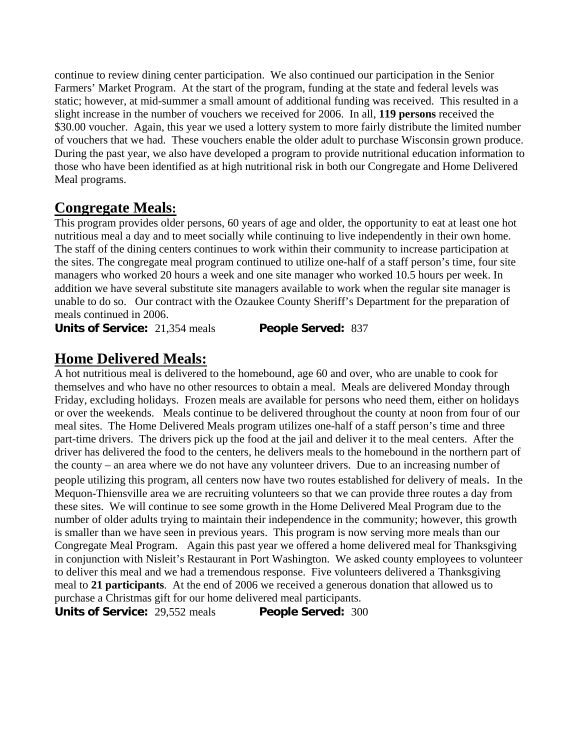continue to review dining center participation. We also continued our participation in the Senior Farmers' Market Program. At the start of the program, funding at the state and federal levels was static; however, at mid-summer a small amount of additional funding was received. This resulted in a slight increase in the number of vouchers we received for 2006. In all, **119 persons** received the \$30.00 voucher. Again, this year we used a lottery system to more fairly distribute the limited number of vouchers that we had. These vouchers enable the older adult to purchase Wisconsin grown produce. During the past year, we also have developed a program to provide nutritional education information to those who have been identified as at high nutritional risk in both our Congregate and Home Delivered Meal programs.

#### **Congregate Meals:**

This program provides older persons, 60 years of age and older, the opportunity to eat at least one hot nutritious meal a day and to meet socially while continuing to live independently in their own home. The staff of the dining centers continues to work within their community to increase participation at the sites. The congregate meal program continued to utilize one-half of a staff person's time, four site managers who worked 20 hours a week and one site manager who worked 10.5 hours per week. In addition we have several substitute site managers available to work when the regular site manager is unable to do so. Our contract with the Ozaukee County Sheriff's Department for the preparation of meals continued in 2006.

**Units of Service:** 21,354 meals **People Served:** 837

#### **Home Delivered Meals:**

A hot nutritious meal is delivered to the homebound, age 60 and over, who are unable to cook for themselves and who have no other resources to obtain a meal. Meals are delivered Monday through Friday, excluding holidays. Frozen meals are available for persons who need them, either on holidays or over the weekends. Meals continue to be delivered throughout the county at noon from four of our meal sites. The Home Delivered Meals program utilizes one-half of a staff person's time and three part-time drivers. The drivers pick up the food at the jail and deliver it to the meal centers. After the driver has delivered the food to the centers, he delivers meals to the homebound in the northern part of the county – an area where we do not have any volunteer drivers. Due to an increasing number of people utilizing this program, all centers now have two routes established for delivery of meals. In the Mequon-Thiensville area we are recruiting volunteers so that we can provide three routes a day from these sites. We will continue to see some growth in the Home Delivered Meal Program due to the number of older adults trying to maintain their independence in the community; however, this growth is smaller than we have seen in previous years. This program is now serving more meals than our Congregate Meal Program. Again this past year we offered a home delivered meal for Thanksgiving in conjunction with Nisleit's Restaurant in Port Washington. We asked county employees to volunteer to deliver this meal and we had a tremendous response. Five volunteers delivered a Thanksgiving meal to **21 participants**. At the end of 2006 we received a generous donation that allowed us to purchase a Christmas gift for our home delivered meal participants.

**Units of Service:** 29,552 meals **People Served:** 300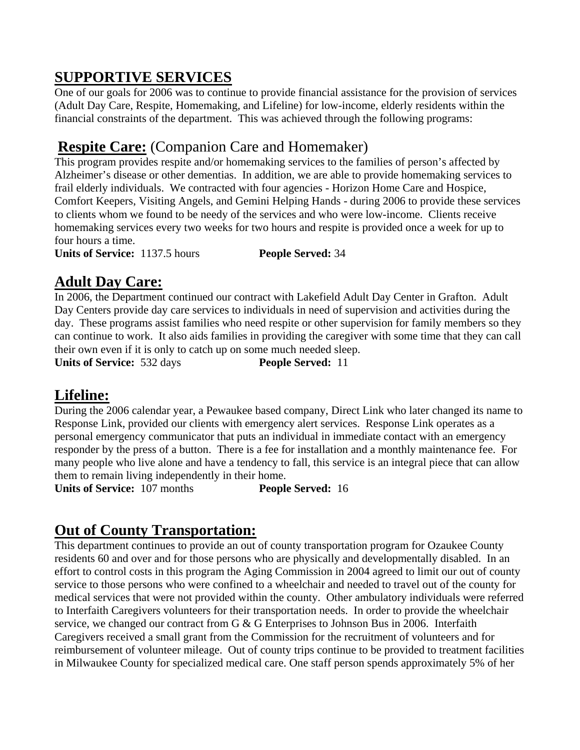## **SUPPORTIVE SERVICES**

One of our goals for 2006 was to continue to provide financial assistance for the provision of services (Adult Day Care, Respite, Homemaking, and Lifeline) for low-income, elderly residents within the financial constraints of the department. This was achieved through the following programs:

## **Respite Care:** (Companion Care and Homemaker)

This program provides respite and/or homemaking services to the families of person's affected by Alzheimer's disease or other dementias. In addition, we are able to provide homemaking services to frail elderly individuals. We contracted with four agencies - Horizon Home Care and Hospice, Comfort Keepers, Visiting Angels, and Gemini Helping Hands - during 2006 to provide these services to clients whom we found to be needy of the services and who were low-income. Clients receive homemaking services every two weeks for two hours and respite is provided once a week for up to four hours a time.

**Units of Service:** 1137.5 hours **People Served:** 34

### **Adult Day Care:**

In 2006, the Department continued our contract with Lakefield Adult Day Center in Grafton. Adult Day Centers provide day care services to individuals in need of supervision and activities during the day. These programs assist families who need respite or other supervision for family members so they can continue to work. It also aids families in providing the caregiver with some time that they can call their own even if it is only to catch up on some much needed sleep.

**Units of Service:** 532 days **People Served:** 11

#### **Lifeline:**

During the 2006 calendar year, a Pewaukee based company, Direct Link who later changed its name to Response Link, provided our clients with emergency alert services. Response Link operates as a personal emergency communicator that puts an individual in immediate contact with an emergency responder by the press of a button. There is a fee for installation and a monthly maintenance fee. For many people who live alone and have a tendency to fall, this service is an integral piece that can allow them to remain living independently in their home.

**Units of Service:** 107 months **People Served:** 16

### **Out of County Transportation:**

This department continues to provide an out of county transportation program for Ozaukee County residents 60 and over and for those persons who are physically and developmentally disabled. In an effort to control costs in this program the Aging Commission in 2004 agreed to limit our out of county service to those persons who were confined to a wheelchair and needed to travel out of the county for medical services that were not provided within the county. Other ambulatory individuals were referred to Interfaith Caregivers volunteers for their transportation needs. In order to provide the wheelchair service, we changed our contract from G & G Enterprises to Johnson Bus in 2006. Interfaith Caregivers received a small grant from the Commission for the recruitment of volunteers and for reimbursement of volunteer mileage. Out of county trips continue to be provided to treatment facilities in Milwaukee County for specialized medical care. One staff person spends approximately 5% of her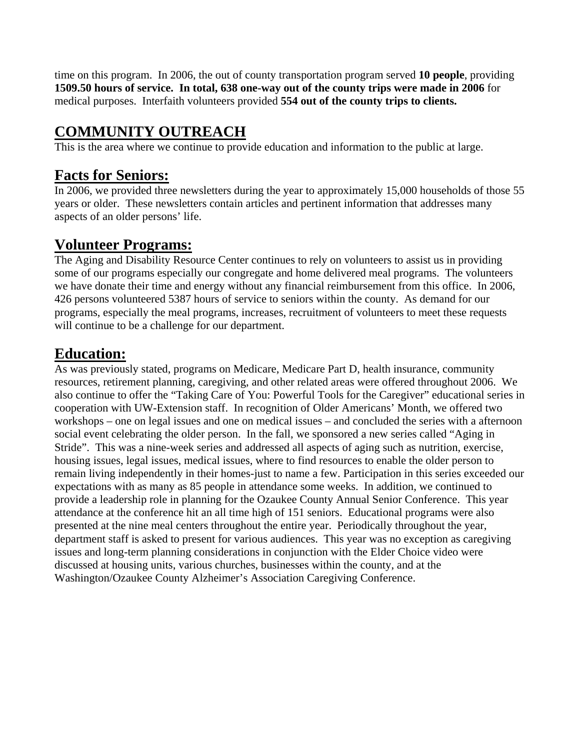time on this program. In 2006, the out of county transportation program served **10 people**, providing **1509.50 hours of service. In total, 638 one-way out of the county trips were made in 2006** for medical purposes. Interfaith volunteers provided **554 out of the county trips to clients.** 

## **COMMUNITY OUTREACH**

This is the area where we continue to provide education and information to the public at large.

#### **Facts for Seniors:**

In 2006, we provided three newsletters during the year to approximately 15,000 households of those 55 years or older. These newsletters contain articles and pertinent information that addresses many aspects of an older persons' life.

## **Volunteer Programs:**

The Aging and Disability Resource Center continues to rely on volunteers to assist us in providing some of our programs especially our congregate and home delivered meal programs. The volunteers we have donate their time and energy without any financial reimbursement from this office. In 2006, 426 persons volunteered 5387 hours of service to seniors within the county. As demand for our programs, especially the meal programs, increases, recruitment of volunteers to meet these requests will continue to be a challenge for our department.

### **Education:**

As was previously stated, programs on Medicare, Medicare Part D, health insurance, community resources, retirement planning, caregiving, and other related areas were offered throughout 2006. We also continue to offer the "Taking Care of You: Powerful Tools for the Caregiver" educational series in cooperation with UW-Extension staff. In recognition of Older Americans' Month, we offered two workshops – one on legal issues and one on medical issues – and concluded the series with a afternoon social event celebrating the older person. In the fall, we sponsored a new series called "Aging in Stride". This was a nine-week series and addressed all aspects of aging such as nutrition, exercise, housing issues, legal issues, medical issues, where to find resources to enable the older person to remain living independently in their homes-just to name a few. Participation in this series exceeded our expectations with as many as 85 people in attendance some weeks. In addition, we continued to provide a leadership role in planning for the Ozaukee County Annual Senior Conference. This year attendance at the conference hit an all time high of 151 seniors. Educational programs were also presented at the nine meal centers throughout the entire year. Periodically throughout the year, department staff is asked to present for various audiences. This year was no exception as caregiving issues and long-term planning considerations in conjunction with the Elder Choice video were discussed at housing units, various churches, businesses within the county, and at the Washington/Ozaukee County Alzheimer's Association Caregiving Conference.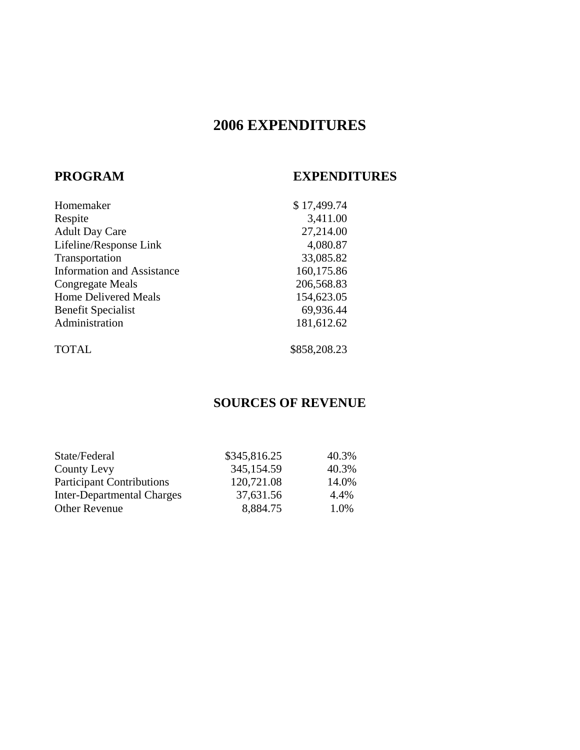# **2006 EXPENDITURES**

#### **PROGRAM EXPENDITURES**

| Homemaker                         | \$17,499.74  |
|-----------------------------------|--------------|
| Respite                           | 3,411.00     |
| <b>Adult Day Care</b>             | 27,214.00    |
| Lifeline/Response Link            | 4,080.87     |
| Transportation                    | 33,085.82    |
| <b>Information and Assistance</b> | 160,175.86   |
| Congregate Meals                  | 206,568.83   |
| <b>Home Delivered Meals</b>       | 154,623.05   |
| <b>Benefit Specialist</b>         | 69,936.44    |
| Administration                    | 181,612.62   |
| <b>TOTAL</b>                      | \$858,208.23 |

#### **SOURCES OF REVENUE**

| State/Federal                     | \$345,816.25 | 40.3% |
|-----------------------------------|--------------|-------|
| County Levy                       | 345,154.59   | 40.3% |
| <b>Participant Contributions</b>  | 120,721.08   | 14.0% |
| <b>Inter-Departmental Charges</b> | 37,631.56    | 4.4%  |
| <b>Other Revenue</b>              | 8,884.75     | 1.0%  |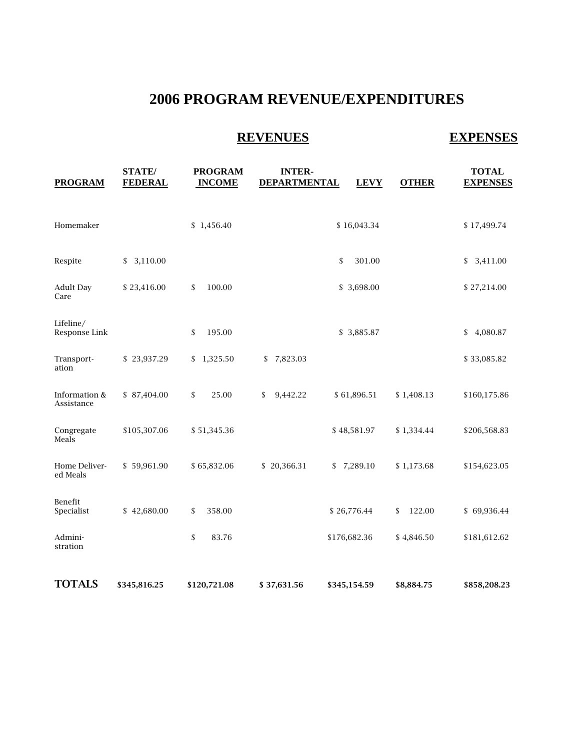## **2006 PROGRAM REVENUE/EXPENDITURES**

## **REVENUES** EXPENSES

| <b>PROGRAM</b>              | <b>STATE/</b><br><b>FEDERAL</b> | <b>PROGRAM</b><br><b>INCOME</b> | <b>INTER-</b><br><b>DEPARTMENTAL</b> | <b>LEVY</b>  | <b>OTHER</b> | <b>TOTAL</b><br><b>EXPENSES</b> |
|-----------------------------|---------------------------------|---------------------------------|--------------------------------------|--------------|--------------|---------------------------------|
| Homemaker                   |                                 | \$1,456.40                      |                                      | \$16,043.34  |              | \$17,499.74                     |
| Respite                     | \$3,110.00                      |                                 |                                      | \$<br>301.00 |              | \$ 3,411.00                     |
| <b>Adult Day</b><br>Care    | \$23,416.00                     | 100.00<br>\$                    |                                      | \$3,698.00   |              | \$27,214.00                     |
| Lifeline/<br>Response Link  |                                 | \$<br>195.00                    |                                      | \$3,885.87   |              | \$4,080.87                      |
| Transport-<br>ation         | \$23,937.29                     | \$1,325.50                      | \$7,823.03                           |              |              | \$33,085.82                     |
| Information &<br>Assistance | \$87,404.00                     | \$<br>25.00                     | 9,442.22<br>\$                       | \$61,896.51  | \$1,408.13   | \$160,175.86                    |
| Congregate<br>Meals         | \$105,307.06                    | \$51,345.36                     |                                      | \$48,581.97  | \$1,334.44   | \$206,568.83                    |
| Home Deliver-<br>ed Meals   | \$59,961.90                     | \$65,832.06                     | \$20,366.31                          | \$7,289.10   | \$1,173.68   | \$154,623.05                    |
| Benefit<br>Specialist       | \$42,680.00                     | 358.00<br>\$                    |                                      | \$26,776.44  | 122.00<br>\$ | \$69,936.44                     |
| Admini-<br>stration         |                                 | $\mathsf{\$}$<br>83.76          |                                      | \$176,682.36 | \$4,846.50   | \$181,612.62                    |
| <b>TOTALS</b>               | \$345,816.25                    | \$120,721.08                    | \$37,631.56                          | \$345,154.59 | \$8,884.75   | \$858,208.23                    |